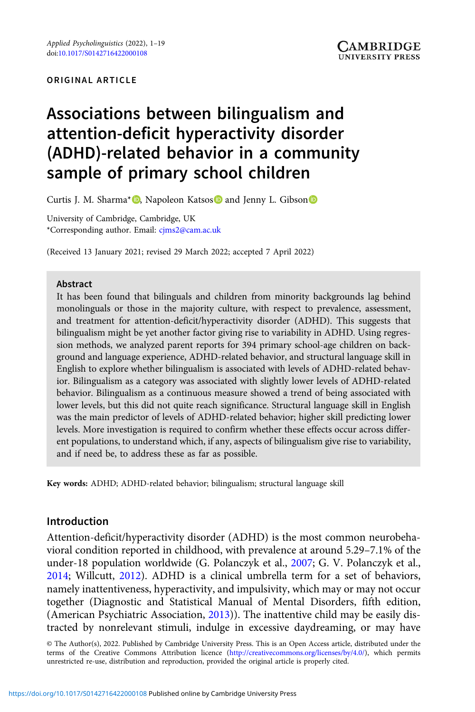#### ORIGINAL ARTICLE

# Associations between bilingualism and attention-deficit hyperactivity disorder (ADHD)-related behavior in a community sample of primary school children

Curtis J. M. Sharma<sup>\*</sup> **D**, Napoleon Katsos **D** and Jenny L. Gibson **D** 

University of Cambridge, Cambridge, UK \*Corresponding author. Email: [cjms2@cam.ac.uk](mailto:cjms2@cam.ac.uk)

(Received 13 January 2021; revised 29 March 2022; accepted 7 April 2022)

#### Abstract

It has been found that bilinguals and children from minority backgrounds lag behind monolinguals or those in the majority culture, with respect to prevalence, assessment, and treatment for attention-deficit/hyperactivity disorder (ADHD). This suggests that bilingualism might be yet another factor giving rise to variability in ADHD. Using regression methods, we analyzed parent reports for 394 primary school-age children on background and language experience, ADHD-related behavior, and structural language skill in English to explore whether bilingualism is associated with levels of ADHD-related behavior. Bilingualism as a category was associated with slightly lower levels of ADHD-related behavior. Bilingualism as a continuous measure showed a trend of being associated with lower levels, but this did not quite reach significance. Structural language skill in English was the main predictor of levels of ADHD-related behavior; higher skill predicting lower levels. More investigation is required to confirm whether these effects occur across different populations, to understand which, if any, aspects of bilingualism give rise to variability, and if need be, to address these as far as possible.

Key words: ADHD; ADHD-related behavior; bilingualism; structural language skill

# Introduction

Attention-deficit/hyperactivity disorder (ADHD) is the most common neurobehavioral condition reported in childhood, with prevalence at around 5.29–7.1% of the under-18 population worldwide (G. Polanczyk et al., [2007](#page-17-0); G. V. Polanczyk et al., [2014](#page-17-0); Willcutt, [2012](#page-18-0)). ADHD is a clinical umbrella term for a set of behaviors, namely inattentiveness, hyperactivity, and impulsivity, which may or may not occur together (Diagnostic and Statistical Manual of Mental Disorders, fifth edition, (American Psychiatric Association, [2013](#page-15-0))). The inattentive child may be easily distracted by nonrelevant stimuli, indulge in excessive daydreaming, or may have

© The Author(s), 2022. Published by Cambridge University Press. This is an Open Access article, distributed under the terms of the Creative Commons Attribution licence ([http://creativecommons.org/licenses/by/4.0/\)](http://creativecommons.org/licenses/by/4.0/), which permits unrestricted re-use, distribution and reproduction, provided the original article is properly cited.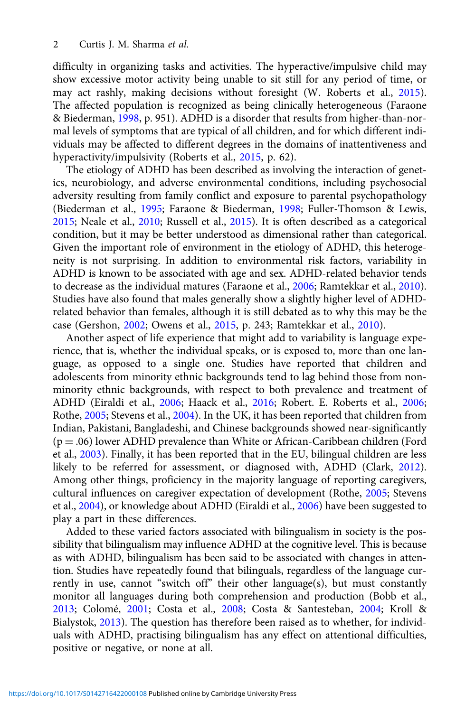difficulty in organizing tasks and activities. The hyperactive/impulsive child may show excessive motor activity being unable to sit still for any period of time, or may act rashly, making decisions without foresight (W. Roberts et al., [2015](#page-18-0)). The affected population is recognized as being clinically heterogeneous (Faraone & Biederman, [1998,](#page-16-0) p. 951). ADHD is a disorder that results from higher-than-normal levels of symptoms that are typical of all children, and for which different individuals may be affected to different degrees in the domains of inattentiveness and hyperactivity/impulsivity (Roberts et al., [2015](#page-18-0), p. 62).

The etiology of ADHD has been described as involving the interaction of genetics, neurobiology, and adverse environmental conditions, including psychosocial adversity resulting from family conflict and exposure to parental psychopathology (Biederman et al., [1995](#page-16-0); Faraone & Biederman, [1998](#page-16-0); Fuller-Thomson & Lewis, [2015;](#page-17-0) Neale et al., [2010;](#page-17-0) Russell et al., [2015\)](#page-18-0). It is often described as a categorical condition, but it may be better understood as dimensional rather than categorical. Given the important role of environment in the etiology of ADHD, this heterogeneity is not surprising. In addition to environmental risk factors, variability in ADHD is known to be associated with age and sex. ADHD-related behavior tends to decrease as the individual matures (Faraone et al., [2006;](#page-16-0) Ramtekkar et al., [2010](#page-18-0)). Studies have also found that males generally show a slightly higher level of ADHDrelated behavior than females, although it is still debated as to why this may be the case (Gershon, [2002](#page-17-0); Owens et al., [2015,](#page-17-0) p. 243; Ramtekkar et al., [2010](#page-18-0)).

Another aspect of life experience that might add to variability is language experience, that is, whether the individual speaks, or is exposed to, more than one language, as opposed to a single one. Studies have reported that children and adolescents from minority ethnic backgrounds tend to lag behind those from nonminority ethnic backgrounds, with respect to both prevalence and treatment of ADHD (Eiraldi et al., [2006;](#page-16-0) Haack et al., [2016](#page-17-0); Robert. E. Roberts et al., [2006;](#page-18-0) Rothe, [2005](#page-18-0); Stevens et al., [2004\)](#page-18-0). In the UK, it has been reported that children from Indian, Pakistani, Bangladeshi, and Chinese backgrounds showed near-significantly (p = .06) lower ADHD prevalence than White or African-Caribbean children (Ford et al., [2003](#page-16-0)). Finally, it has been reported that in the EU, bilingual children are less likely to be referred for assessment, or diagnosed with, ADHD (Clark, [2012](#page-16-0)). Among other things, proficiency in the majority language of reporting caregivers, cultural influences on caregiver expectation of development (Rothe, [2005](#page-18-0); Stevens et al., [2004](#page-18-0)), or knowledge about ADHD (Eiraldi et al., [2006\)](#page-16-0) have been suggested to play a part in these differences.

Added to these varied factors associated with bilingualism in society is the possibility that bilingualism may influence ADHD at the cognitive level. This is because as with ADHD, bilingualism has been said to be associated with changes in attention. Studies have repeatedly found that bilinguals, regardless of the language currently in use, cannot "switch off" their other language(s), but must constantly monitor all languages during both comprehension and production (Bobb et al., [2013;](#page-16-0) Colomé, [2001](#page-16-0); Costa et al., [2008](#page-16-0); Costa & Santesteban, [2004;](#page-16-0) Kroll & Bialystok, [2013](#page-17-0)). The question has therefore been raised as to whether, for individuals with ADHD, practising bilingualism has any effect on attentional difficulties, positive or negative, or none at all.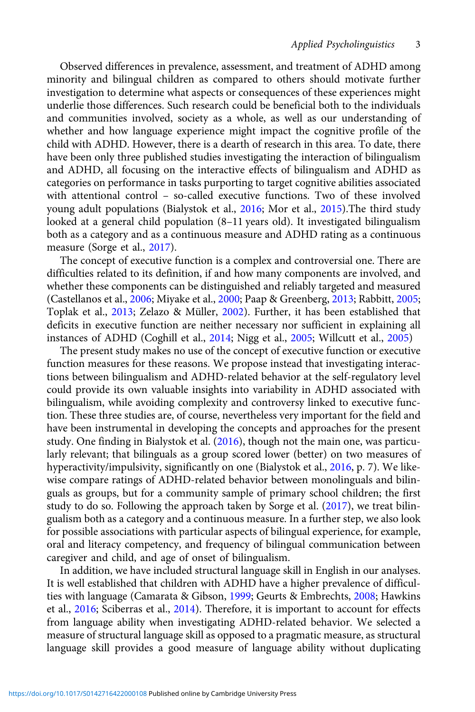Observed differences in prevalence, assessment, and treatment of ADHD among minority and bilingual children as compared to others should motivate further investigation to determine what aspects or consequences of these experiences might underlie those differences. Such research could be beneficial both to the individuals and communities involved, society as a whole, as well as our understanding of whether and how language experience might impact the cognitive profile of the child with ADHD. However, there is a dearth of research in this area. To date, there have been only three published studies investigating the interaction of bilingualism and ADHD, all focusing on the interactive effects of bilingualism and ADHD as categories on performance in tasks purporting to target cognitive abilities associated with attentional control – so-called executive functions. Two of these involved young adult populations (Bialystok et al., [2016](#page-16-0); Mor et al., [2015](#page-17-0)).The third study looked at a general child population (8–11 years old). It investigated bilingualism both as a category and as a continuous measure and ADHD rating as a continuous measure (Sorge et al., [2017\)](#page-18-0).

The concept of executive function is a complex and controversial one. There are difficulties related to its definition, if and how many components are involved, and whether these components can be distinguished and reliably targeted and measured (Castellanos et al., [2006;](#page-16-0) Miyake et al., [2000](#page-17-0); Paap & Greenberg, [2013;](#page-17-0) Rabbitt, [2005](#page-18-0); Toplak et al., [2013](#page-18-0); Zelazo & Müller, [2002\)](#page-18-0). Further, it has been established that deficits in executive function are neither necessary nor sufficient in explaining all instances of ADHD (Coghill et al., [2014](#page-16-0); Nigg et al., [2005](#page-17-0); Willcutt et al., [2005\)](#page-18-0)

The present study makes no use of the concept of executive function or executive function measures for these reasons. We propose instead that investigating interactions between bilingualism and ADHD-related behavior at the self-regulatory level could provide its own valuable insights into variability in ADHD associated with bilingualism, while avoiding complexity and controversy linked to executive function. These three studies are, of course, nevertheless very important for the field and have been instrumental in developing the concepts and approaches for the present study. One finding in Bialystok et al. [\(2016](#page-16-0)), though not the main one, was particularly relevant; that bilinguals as a group scored lower (better) on two measures of hyperactivity/impulsivity, significantly on one (Bialystok et al., [2016,](#page-16-0) p. 7). We likewise compare ratings of ADHD-related behavior between monolinguals and bilinguals as groups, but for a community sample of primary school children; the first study to do so. Following the approach taken by Sorge et al.  $(2017)$ , we treat bilingualism both as a category and a continuous measure. In a further step, we also look for possible associations with particular aspects of bilingual experience, for example, oral and literacy competency, and frequency of bilingual communication between caregiver and child, and age of onset of bilingualism.

In addition, we have included structural language skill in English in our analyses. It is well established that children with ADHD have a higher prevalence of difficulties with language (Camarata & Gibson, [1999](#page-16-0); Geurts & Embrechts, [2008](#page-17-0); Hawkins et al., [2016](#page-17-0); Sciberras et al., [2014\)](#page-18-0). Therefore, it is important to account for effects from language ability when investigating ADHD-related behavior. We selected a measure of structural language skill as opposed to a pragmatic measure, as structural language skill provides a good measure of language ability without duplicating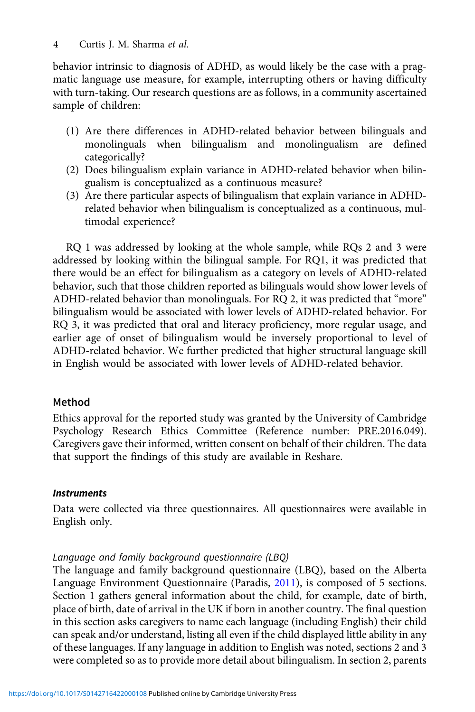behavior intrinsic to diagnosis of ADHD, as would likely be the case with a pragmatic language use measure, for example, interrupting others or having difficulty with turn-taking. Our research questions are as follows, in a community ascertained sample of children:

- (1) Are there differences in ADHD-related behavior between bilinguals and monolinguals when bilingualism and monolingualism are defined categorically?
- (2) Does bilingualism explain variance in ADHD-related behavior when bilingualism is conceptualized as a continuous measure?
- (3) Are there particular aspects of bilingualism that explain variance in ADHDrelated behavior when bilingualism is conceptualized as a continuous, multimodal experience?

RQ 1 was addressed by looking at the whole sample, while RQs 2 and 3 were addressed by looking within the bilingual sample. For RQ1, it was predicted that there would be an effect for bilingualism as a category on levels of ADHD-related behavior, such that those children reported as bilinguals would show lower levels of ADHD-related behavior than monolinguals. For RQ 2, it was predicted that "more" bilingualism would be associated with lower levels of ADHD-related behavior. For RQ 3, it was predicted that oral and literacy proficiency, more regular usage, and earlier age of onset of bilingualism would be inversely proportional to level of ADHD-related behavior. We further predicted that higher structural language skill in English would be associated with lower levels of ADHD-related behavior.

# Method

Ethics approval for the reported study was granted by the University of Cambridge Psychology Research Ethics Committee (Reference number: PRE.2016.049). Caregivers gave their informed, written consent on behalf of their children. The data that support the findings of this study are available in Reshare.

# **Instruments**

Data were collected via three questionnaires. All questionnaires were available in English only.

# Language and family background questionnaire (LBQ)

The language and family background questionnaire (LBQ), based on the Alberta Language Environment Questionnaire (Paradis, [2011](#page-17-0)), is composed of 5 sections. Section 1 gathers general information about the child, for example, date of birth, place of birth, date of arrival in the UK if born in another country. The final question in this section asks caregivers to name each language (including English) their child can speak and/or understand, listing all even if the child displayed little ability in any of these languages. If any language in addition to English was noted, sections 2 and 3 were completed so as to provide more detail about bilingualism. In section 2, parents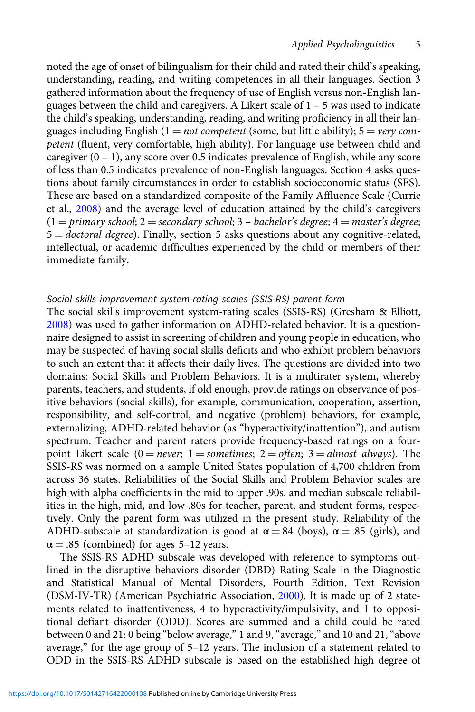noted the age of onset of bilingualism for their child and rated their child's speaking, understanding, reading, and writing competences in all their languages. Section 3 gathered information about the frequency of use of English versus non-English languages between the child and caregivers. A Likert scale of 1 – 5 was used to indicate the child's speaking, understanding, reading, and writing proficiency in all their languages including English  $(1 = not \text{ competent}$  (some, but little ability);  $5 = \text{very} \text{ com}$ petent (fluent, very comfortable, high ability). For language use between child and caregiver  $(0 - 1)$ , any score over 0.5 indicates prevalence of English, while any score of less than 0.5 indicates prevalence of non-English languages. Section 4 asks questions about family circumstances in order to establish socioeconomic status (SES). These are based on a standardized composite of the Family Affluence Scale (Currie et al., [2008\)](#page-16-0) and the average level of education attained by the child's caregivers  $(1 = primary school; 2 = secondary school; 3 - bachelor's degree; 4 = master's degree;$  $5 =$  *doctoral degree*). Finally, section 5 asks questions about any cognitive-related, intellectual, or academic difficulties experienced by the child or members of their immediate family.

## Social skills improvement system-rating scales (SSIS-RS) parent form

The social skills improvement system-rating scales (SSIS-RS) (Gresham & Elliott, [2008](#page-17-0)) was used to gather information on ADHD-related behavior. It is a questionnaire designed to assist in screening of children and young people in education, who may be suspected of having social skills deficits and who exhibit problem behaviors to such an extent that it affects their daily lives. The questions are divided into two domains: Social Skills and Problem Behaviors. It is a multirater system, whereby parents, teachers, and students, if old enough, provide ratings on observance of positive behaviors (social skills), for example, communication, cooperation, assertion, responsibility, and self-control, and negative (problem) behaviors, for example, externalizing, ADHD-related behavior (as "hyperactivity/inattention"), and autism spectrum. Teacher and parent raters provide frequency-based ratings on a fourpoint Likert scale  $(0 = never; 1 = sometimes; 2 = often; 3 = almost always)$ . The SSIS-RS was normed on a sample United States population of 4,700 children from across 36 states. Reliabilities of the Social Skills and Problem Behavior scales are high with alpha coefficients in the mid to upper .90s, and median subscale reliabilities in the high, mid, and low .80s for teacher, parent, and student forms, respectively. Only the parent form was utilized in the present study. Reliability of the ADHD-subscale at standardization is good at  $\alpha = 84$  (boys),  $\alpha = .85$  (girls), and  $\alpha = .85$  (combined) for ages 5–12 years.

The SSIS-RS ADHD subscale was developed with reference to symptoms outlined in the disruptive behaviors disorder (DBD) Rating Scale in the Diagnostic and Statistical Manual of Mental Disorders, Fourth Edition, Text Revision (DSM-IV-TR) (American Psychiatric Association, [2000\)](#page-15-0). It is made up of 2 statements related to inattentiveness, 4 to hyperactivity/impulsivity, and 1 to oppositional defiant disorder (ODD). Scores are summed and a child could be rated between 0 and 21: 0 being "below average," 1 and 9, "average," and 10 and 21, "above average," for the age group of 5–12 years. The inclusion of a statement related to ODD in the SSIS-RS ADHD subscale is based on the established high degree of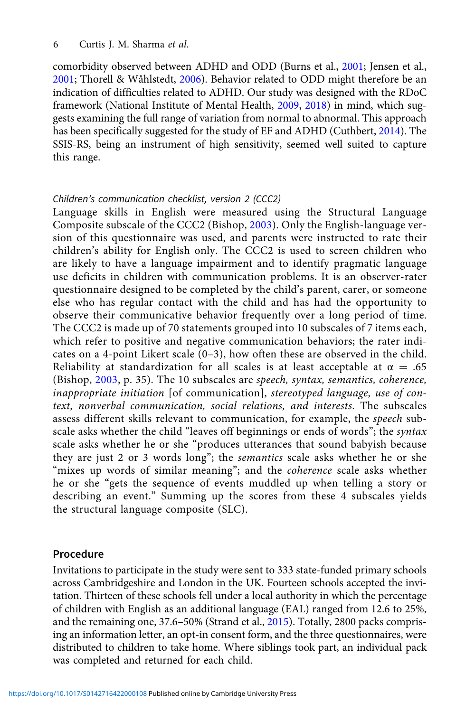comorbidity observed between ADHD and ODD (Burns et al., [2001;](#page-16-0) Jensen et al., [2001;](#page-17-0) Thorell & Wåhlstedt, [2006\)](#page-18-0). Behavior related to ODD might therefore be an indication of difficulties related to ADHD. Our study was designed with the RDoC framework (National Institute of Mental Health, [2009](#page-17-0), [2018](#page-17-0)) in mind, which suggests examining the full range of variation from normal to abnormal. This approach has been specifically suggested for the study of EF and ADHD (Cuthbert, [2014](#page-16-0)). The SSIS-RS, being an instrument of high sensitivity, seemed well suited to capture this range.

## Children's communication checklist, version 2 (CCC2)

Language skills in English were measured using the Structural Language Composite subscale of the CCC2 (Bishop, [2003](#page-16-0)). Only the English-language version of this questionnaire was used, and parents were instructed to rate their children's ability for English only. The CCC2 is used to screen children who are likely to have a language impairment and to identify pragmatic language use deficits in children with communication problems. It is an observer-rater questionnaire designed to be completed by the child's parent, carer, or someone else who has regular contact with the child and has had the opportunity to observe their communicative behavior frequently over a long period of time. The CCC2 is made up of 70 statements grouped into 10 subscales of 7 items each, which refer to positive and negative communication behaviors; the rater indicates on a 4-point Likert scale (0–3), how often these are observed in the child. Reliability at standardization for all scales is at least acceptable at  $\alpha = .65$ (Bishop, [2003](#page-16-0), p. 35). The 10 subscales are speech, syntax, semantics, coherence, inappropriate initiation [of communication], stereotyped language, use of context, nonverbal communication, social relations, and interests. The subscales assess different skills relevant to communication, for example, the speech subscale asks whether the child "leaves off beginnings or ends of words"; the syntax scale asks whether he or she "produces utterances that sound babyish because they are just 2 or 3 words long"; the semantics scale asks whether he or she "mixes up words of similar meaning"; and the *coherence* scale asks whether he or she "gets the sequence of events muddled up when telling a story or describing an event." Summing up the scores from these 4 subscales yields the structural language composite (SLC).

# Procedure

Invitations to participate in the study were sent to 333 state-funded primary schools across Cambridgeshire and London in the UK. Fourteen schools accepted the invitation. Thirteen of these schools fell under a local authority in which the percentage of children with English as an additional language (EAL) ranged from 12.6 to 25%, and the remaining one, 37.6–50% (Strand et al., [2015\)](#page-18-0). Totally, 2800 packs comprising an information letter, an opt-in consent form, and the three questionnaires, were distributed to children to take home. Where siblings took part, an individual pack was completed and returned for each child.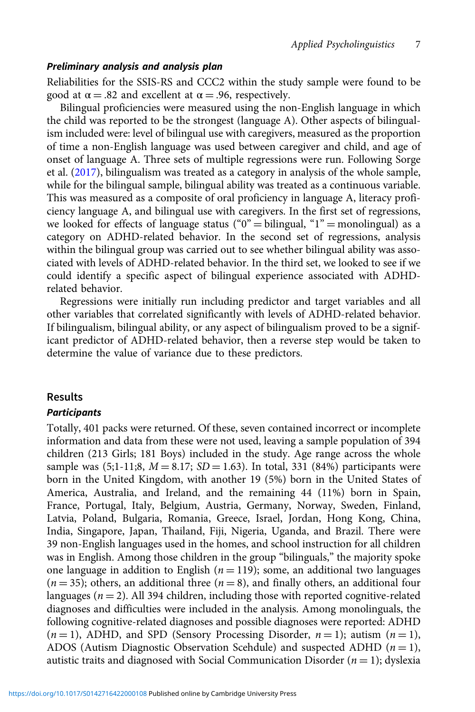#### Preliminary analysis and analysis plan

Reliabilities for the SSIS-RS and CCC2 within the study sample were found to be good at  $\alpha = .82$  and excellent at  $\alpha = .96$ , respectively.

Bilingual proficiencies were measured using the non-English language in which the child was reported to be the strongest (language A). Other aspects of bilingualism included were: level of bilingual use with caregivers, measured as the proportion of time a non-English language was used between caregiver and child, and age of onset of language A. Three sets of multiple regressions were run. Following Sorge et al. ([2017\)](#page-18-0), bilingualism was treated as a category in analysis of the whole sample, while for the bilingual sample, bilingual ability was treated as a continuous variable. This was measured as a composite of oral proficiency in language A, literacy proficiency language A, and bilingual use with caregivers. In the first set of regressions, we looked for effects of language status (" $0" =$  bilingual, "1" = monolingual) as a category on ADHD-related behavior. In the second set of regressions, analysis within the bilingual group was carried out to see whether bilingual ability was associated with levels of ADHD-related behavior. In the third set, we looked to see if we could identify a specific aspect of bilingual experience associated with ADHDrelated behavior.

Regressions were initially run including predictor and target variables and all other variables that correlated significantly with levels of ADHD-related behavior. If bilingualism, bilingual ability, or any aspect of bilingualism proved to be a significant predictor of ADHD-related behavior, then a reverse step would be taken to determine the value of variance due to these predictors.

#### Results

#### **Participants**

Totally, 401 packs were returned. Of these, seven contained incorrect or incomplete information and data from these were not used, leaving a sample population of 394 children (213 Girls; 181 Boys) included in the study. Age range across the whole sample was  $(5;1-11;8, M = 8.17; SD = 1.63)$ . In total, 331 (84%) participants were born in the United Kingdom, with another 19 (5%) born in the United States of America, Australia, and Ireland, and the remaining 44 (11%) born in Spain, France, Portugal, Italy, Belgium, Austria, Germany, Norway, Sweden, Finland, Latvia, Poland, Bulgaria, Romania, Greece, Israel, Jordan, Hong Kong, China, India, Singapore, Japan, Thailand, Fiji, Nigeria, Uganda, and Brazil. There were 39 non-English languages used in the homes, and school instruction for all children was in English. Among those children in the group "bilinguals," the majority spoke one language in addition to English ( $n = 119$ ); some, an additional two languages  $(n = 35)$ ; others, an additional three  $(n = 8)$ , and finally others, an additional four languages ( $n = 2$ ). All 394 children, including those with reported cognitive-related diagnoses and difficulties were included in the analysis. Among monolinguals, the following cognitive-related diagnoses and possible diagnoses were reported: ADHD  $(n = 1)$ , ADHD, and SPD (Sensory Processing Disorder,  $n = 1$ ); autism  $(n = 1)$ , ADOS (Autism Diagnostic Observation Scehdule) and suspected ADHD  $(n = 1)$ , autistic traits and diagnosed with Social Communication Disorder ( $n = 1$ ); dyslexia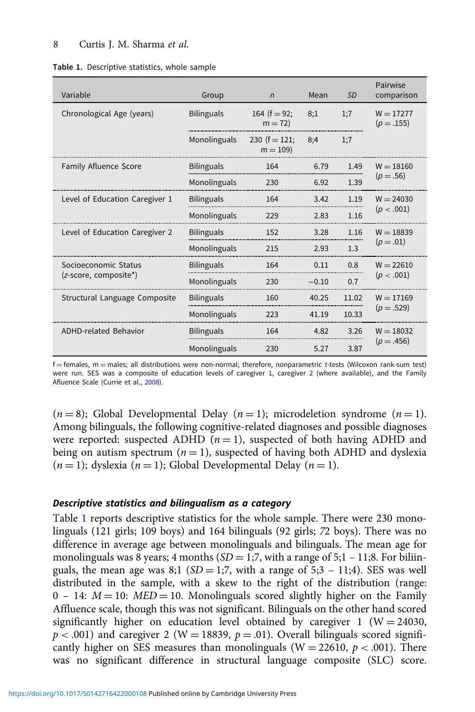#### 8 Curtis J. M. Sharma et al.

| Variable                       | Group             | $\overline{n}$                 | Mean    | <b>SD</b> | Pairwise<br>comparison    |
|--------------------------------|-------------------|--------------------------------|---------|-----------|---------------------------|
| Chronological Age (years)      | <b>Bilinguals</b> | 164 ( $f = 92$ ;<br>$m = 72$   | 8:1     | 1:7       | $W = 17277$<br>$(p=.155)$ |
|                                | Monolinguals      | 230 ( $f = 121$ ;<br>$m = 109$ | 8:4     | 1:7       |                           |
| <b>Family Afluence Score</b>   | <b>Bilinguals</b> | 164                            | 6.79    | 1.49      | $W = 18160$               |
|                                | Monolinguals      | 230                            | 6.92    | 1.39      | $(p=.56)$                 |
| Level of Education Caregiver 1 | <b>Bilinguals</b> | 164                            | 3.42    | 1.19      | $W = 24030$               |
|                                | Monolinguals      | 229                            | 2.83    | 1.16      | (p < .001)                |
| Level of Education Caregiver 2 | <b>Bilinguals</b> | 152                            | 3.28    | 1.16      | $W = 18839$               |
|                                | Monolinguals      | 215                            | 2.93    | 1.3       | $(p=.01)$                 |
| Socioeconomic Status           | <b>Bilinguals</b> | 164                            | 0.11    | 0.8       | $W = 22610$               |
| (z-score, composite*)          | Monolinguals      | 230                            | $-0.10$ | 0.7       | (p < .001)                |
| Structural Language Composite  | <b>Bilinguals</b> | 160                            | 40.25   | 11.02     | $W = 17169$               |
|                                | Monolinguals      | 223                            | 41.19   | 10.33     | $(p=.529)$                |
| <b>ADHD-related Behavior</b>   | <b>Bilinguals</b> | 164                            | 4.82    | 3.26      | $W = 18032$               |
|                                | Monolinguals      | 230                            | 5.27    | 3.87      | $(p=.456)$                |

f = females, m = males; all distributions were non-normal; therefore, nonparametric t-tests (Wilcoxon rank-sum test) were run. SES was a composite of education levels of caregiver 1, caregiver 2 (where available), and the Family Afluence Scale (Currie et al., [2008\)](#page-16-0).

 $(n = 8)$ ; Global Developmental Delay  $(n = 1)$ ; microdeletion syndrome  $(n = 1)$ . Among bilinguals, the following cognitive-related diagnoses and possible diagnoses were reported: suspected ADHD  $(n = 1)$ , suspected of both having ADHD and being on autism spectrum  $(n = 1)$ , suspected of having both ADHD and dyslexia  $(n = 1)$ ; dyslexia  $(n = 1)$ ; Global Developmental Delay  $(n = 1)$ .

#### Descriptive statistics and bilingualism as a category

Table 1 reports descriptive statistics for the whole sample. There were 230 monolinguals (121 girls; 109 boys) and 164 bilinguals (92 girls; 72 boys). There was no difference in average age between monolinguals and bilinguals. The mean age for monolinguals was 8 years; 4 months  $(SD = 1, 7,$  with a range of 5;1 – 11;8. For biliinguals, the mean age was 8;1 ( $SD = 1;7$ , with a range of  $5;3 - 11;4$ ). SES was well distributed in the sample, with a skew to the right of the distribution (range:  $0 - 14$ :  $M = 10$ :  $MED = 10$ . Monolinguals scored slightly higher on the Family Affluence scale, though this was not significant. Bilinguals on the other hand scored significantly higher on education level obtained by caregiver 1 ( $W = 24030$ ,  $p < .001$ ) and caregiver 2 (W = 18839,  $p = .01$ ). Overall bilinguals scored significantly higher on SES measures than monolinguals ( $W = 22610$ ,  $p < .001$ ). There was no significant difference in structural language composite (SLC) score.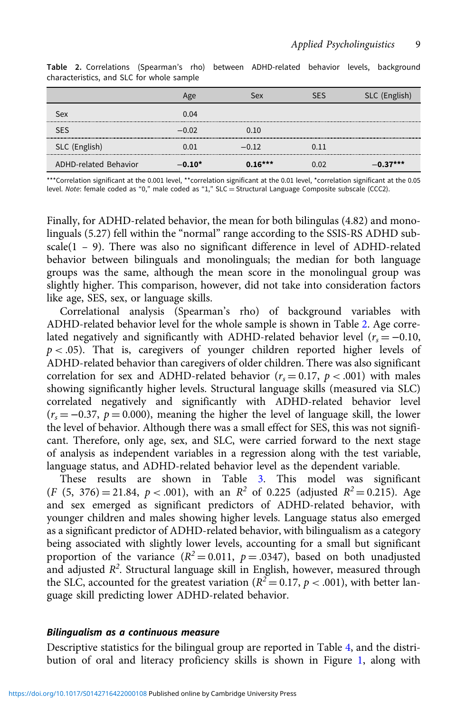|                              | Age      | Sex       | SFS  | SLC (English) |
|------------------------------|----------|-----------|------|---------------|
| Sex                          | 0.04     |           |      |               |
| <b>SES</b>                   | $-0.02$  | 0.10      |      |               |
| SLC (English)                | 0.01     | $-0.12$   | 0.11 |               |
| <b>ADHD-related Behavior</b> | $-0.10*$ | $0.16***$ | 0.02 | $-0.37***$    |

Table 2. Correlations (Spearman's rho) between ADHD-related behavior levels, background characteristics, and SLC for whole sample

\*\*\*Correlation significant at the 0.001 level, \*\*correlation significant at the 0.01 level, \*correlation significant at the 0.05 level. Note: female coded as "0," male coded as "1," SLC = Structural Language Composite subscale (CCC2).

Finally, for ADHD-related behavior, the mean for both bilingulas (4.82) and monolinguals (5.27) fell within the "normal" range according to the SSIS-RS ADHD subscale( $1 - 9$ ). There was also no significant difference in level of ADHD-related behavior between bilinguals and monolinguals; the median for both language groups was the same, although the mean score in the monolingual group was slightly higher. This comparison, however, did not take into consideration factors like age, SES, sex, or language skills.

Correlational analysis (Spearman's rho) of background variables with ADHD-related behavior level for the whole sample is shown in Table 2. Age correlated negatively and significantly with ADHD-related behavior level ( $r_s = -0.10$ ,  $p < .05$ ). That is, caregivers of younger children reported higher levels of ADHD-related behavior than caregivers of older children. There was also significant correlation for sex and ADHD-related behavior ( $r_s = 0.17$ ,  $p < .001$ ) with males showing significantly higher levels. Structural language skills (measured via SLC) correlated negatively and significantly with ADHD-related behavior level  $(r<sub>s</sub> = -0.37, p = 0.000)$ , meaning the higher the level of language skill, the lower the level of behavior. Although there was a small effect for SES, this was not significant. Therefore, only age, sex, and SLC, were carried forward to the next stage of analysis as independent variables in a regression along with the test variable, language status, and ADHD-related behavior level as the dependent variable.

These results are shown in Table [3](#page-9-0). This model was significant  $(F (5, 376) = 21.84, p < .001)$ , with an  $R^2$  of 0.225 (adjusted  $R^2 = 0.215$ ). Age and sex emerged as significant predictors of ADHD-related behavior, with younger children and males showing higher levels. Language status also emerged as a significant predictor of ADHD-related behavior, with bilingualism as a category being associated with slightly lower levels, accounting for a small but significant proportion of the variance  $(R^2 = 0.011, p = .0347)$ , based on both unadjusted and adjusted  $R^2$ . Structural language skill in English, however, measured through the SLC, accounted for the greatest variation ( $R^2 = 0.17$ ,  $p < .001$ ), with better language skill predicting lower ADHD-related behavior.

#### Bilingualism as a continuous measure

Descriptive statistics for the bilingual group are reported in Table [4,](#page-10-0) and the distribution of oral and literacy proficiency skills is shown in Figure [1](#page-10-0), along with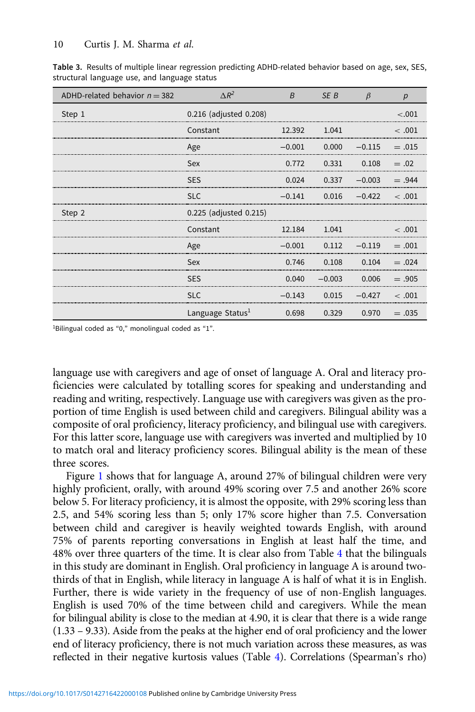| ADHD-related behavior $n = 382$ | $\Delta R^2$                 | $\overline{B}$ | SE B                     | $\beta$         | р           |
|---------------------------------|------------------------------|----------------|--------------------------|-----------------|-------------|
| Step 1                          | 0.216 (adjusted 0.208)       |                |                          |                 | $-.001$     |
|                                 | Constant                     | 12.392         | 1.041                    |                 | < .001      |
|                                 | Age                          | $-0.001$       | 0.000                    | $-0.115$        | $=.015$     |
|                                 | Sex                          | 0.772          | 0.331                    | 0.108           | $= .02$     |
|                                 | <b>SES</b>                   |                | $0.024$ $0.337$ $-0.003$ |                 | $= .944$    |
|                                 | <b>SLC</b>                   | $-0.141$       |                          | $0.016 - 0.422$ | <.001       |
| Step 2                          | 0.225 (adjusted 0.215)       |                |                          |                 |             |
|                                 | Constant                     | 12.184         | 1.041                    |                 | $\leq 0.01$ |
|                                 | Age                          | $-0.001$       | 0.112                    | $-0.119$        | $= 0.01$    |
|                                 | Sex                          | 0.746          | 0.108                    | 0.104           | $= .024$    |
|                                 | <b>SES</b>                   |                | $0.040 - 0.003$          | 0.006           | $=.905$     |
|                                 | SLC                          | $-0.143$       | 0.015                    | $-0.427$        | < .001      |
|                                 | Language Status <sup>1</sup> | 0.698          | 0.329                    | 0.970           | $=.035$     |

<span id="page-9-0"></span>Table 3. Results of multiple linear regression predicting ADHD-related behavior based on age, sex, SES, structural language use, and language status

<sup>1</sup>Bilingual coded as "0," monolingual coded as "1".

language use with caregivers and age of onset of language A. Oral and literacy proficiencies were calculated by totalling scores for speaking and understanding and reading and writing, respectively. Language use with caregivers was given as the proportion of time English is used between child and caregivers. Bilingual ability was a composite of oral proficiency, literacy proficiency, and bilingual use with caregivers. For this latter score, language use with caregivers was inverted and multiplied by 10 to match oral and literacy proficiency scores. Bilingual ability is the mean of these three scores.

Figure [1](#page-10-0) shows that for language A, around 27% of bilingual children were very highly proficient, orally, with around 49% scoring over 7.5 and another 26% score below 5. For literacy proficiency, it is almost the opposite, with 29% scoring less than 2.5, and 54% scoring less than 5; only 17% score higher than 7.5. Conversation between child and caregiver is heavily weighted towards English, with around 75% of parents reporting conversations in English at least half the time, and 48% over three quarters of the time. It is clear also from Table [4](#page-10-0) that the bilinguals in this study are dominant in English. Oral proficiency in language A is around twothirds of that in English, while literacy in language A is half of what it is in English. Further, there is wide variety in the frequency of use of non-English languages. English is used 70% of the time between child and caregivers. While the mean for bilingual ability is close to the median at 4.90, it is clear that there is a wide range (1.33 – 9.33). Aside from the peaks at the higher end of oral proficiency and the lower end of literacy proficiency, there is not much variation across these measures, as was reflected in their negative kurtosis values (Table [4\)](#page-10-0). Correlations (Spearman's rho)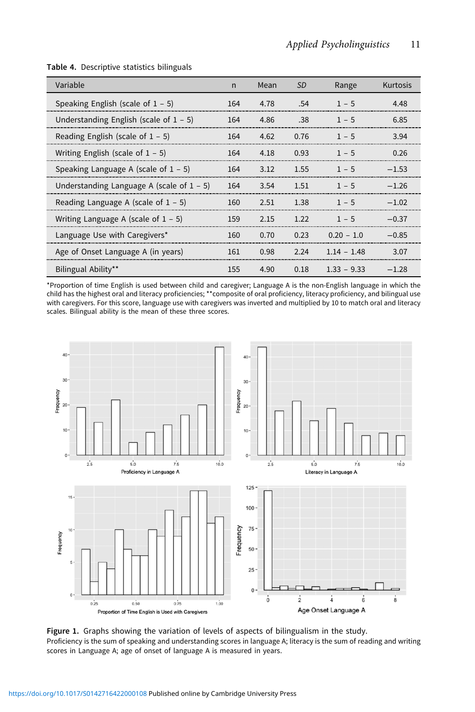| Variable                                     | n   | Mean | <b>SD</b> | Range                | Kurtosis |
|----------------------------------------------|-----|------|-----------|----------------------|----------|
| Speaking English (scale of $1 - 5$ )         | 164 | 4.78 | .54       | $1 - 5$              | 4.48     |
| Understanding English (scale of $1 - 5$ )    | 164 | 4.86 | .38       | $1 - 5$              | 6.85     |
| Reading English (scale of $1 - 5$ )          | 164 | 4.62 | 0.76      | $1 - 5$              | 3.94     |
| Writing English (scale of $1 - 5$ )          | 164 | 4.18 | 0.93      | $1 - 5$              | 0.26     |
| Speaking Language A (scale of $1 - 5$ )      | 164 | 3.12 | 1.55      | $1 - 5$              | $-153$   |
| Understanding Language A (scale of $1 - 5$ ) | 164 | 3.54 | 1.51      | $1 - 5$              | $-1.26$  |
| Reading Language A (scale of $1 - 5$ )       | 160 | 2.51 | 1.38      | $1 - 5$              | $-1.02$  |
| Writing Language A (scale of $1 - 5$ )       | 159 | 2.15 | 1 22      | $1 - 5$              | $-0.37$  |
| Language Use with Caregivers*                | 160 | 0.70 | 0.23      | $0.20 - 1.0$         | $-0.85$  |
| Age of Onset Language A (in years)           | 161 | 0.98 |           | $2.24$ $1.14 - 1.48$ | 3.07     |
| Bilingual Ability**                          | 155 | 4.90 |           | $0.18$ $1.33 - 9.33$ | $-1.28$  |

#### <span id="page-10-0"></span>Table 4. Descriptive statistics bilinguals

\*Proportion of time English is used between child and caregiver; Language A is the non-English language in which the child has the highest oral and literacy proficiencies; \*\*composite of oral proficiency, literacy proficiency, and bilingual use<br>with caregivers. For this score, language use with caregivers was inverted and multiplied by 1 scales. Bilingual ability is the mean of these three scores.



Figure 1. Graphs showing the variation of levels of aspects of bilingualism in the study. Proficiency is the sum of speaking and understanding scores in language A; literacy is the sum of reading and writing scores in Language A; age of onset of language A is measured in years.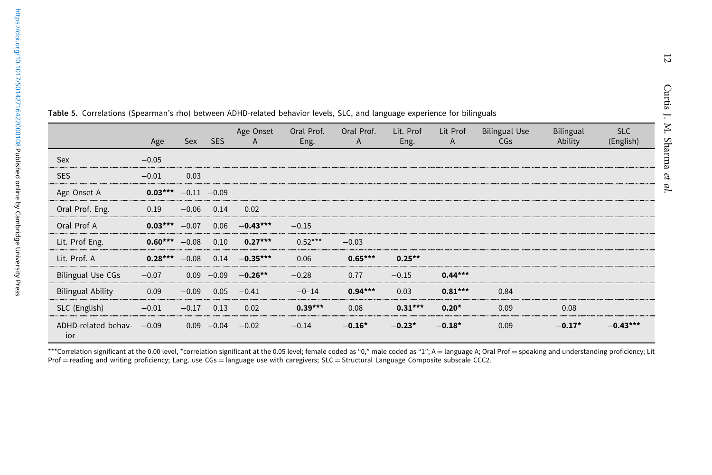|                            | Age       | Sex            | <b>SES</b> | Age Onset<br>$\mathsf{A}$ | Oral Prof.<br>Eng. | Oral Prof.<br>A | Lit. Prof<br>Eng. | Lit Prof<br>A | <b>Bilingual Use</b><br><b>CGs</b> | Bilingual<br>Ability | <b>SLC</b><br>(English) |
|----------------------------|-----------|----------------|------------|---------------------------|--------------------|-----------------|-------------------|---------------|------------------------------------|----------------------|-------------------------|
| Sex                        | $-0.05$   |                |            |                           |                    |                 |                   |               |                                    |                      |                         |
| <b>SES</b>                 | $-0.01$   | 0.03           |            |                           |                    |                 |                   |               |                                    |                      |                         |
| Age Onset A                | $0.03***$ | $-0.11 - 0.09$ |            |                           |                    |                 |                   |               |                                    |                      |                         |
| Oral Prof. Eng.            | 0.19      | $-0.06$        | 0.14       | 0.02                      |                    |                 |                   |               |                                    |                      |                         |
| Oral Prof A                | $0.03***$ | $-0.07$        | 0.06       | $-0.43***$                | $-0.15$            |                 |                   |               |                                    |                      |                         |
| Lit. Prof Eng.             | $0.60***$ | $-0.08$        | 0.10       | $0.27***$                 | $0.52***$          | $-0.03$         |                   |               |                                    |                      |                         |
| Lit. Prof. A               | $0.28***$ | $-0.08$        | 0.14       | $-0.35***$                | 0.06               | $0.65***$       | $0.25***$         |               |                                    |                      |                         |
| <b>Bilingual Use CGs</b>   | $-0.07$   | 0.09           | $-0.09$    | $-0.26**$                 | $-0.28$            | 0.77            | $-0.15$           | $0.44***$     |                                    |                      |                         |
| <b>Bilingual Ability</b>   | 0.09      | $-0.09$        | 0.05       | $-0.41$                   | $-0-14$            | $0.94***$       | 0.03              | $0.81***$     | 0.84                               |                      |                         |
| SLC (English)              | $-0.01$   | $-0.17$        | 0.13       | 0.02                      | $0.39***$          | 0.08            | $0.31***$         | $0.20*$       | 0.09                               | 0.08                 |                         |
| ADHD-related behav-<br>ior | $-0.09$   | 0.09           | $-0.04$    | $-0.02$                   | $-0.14$            | $-0.16*$        | $-0.23*$          | $-0.18*$      | 0.09                               | $-0.17*$             | $-0.43***$              |

<span id="page-11-0"></span>Table 5. Correlations (Spearman'<sup>s</sup> rho) between ADHD-related behavior levels, SLC, and language experience for bilinguals

\*\*\*Correlation significant at the 0.00 level, \*correlation significant at the 0.05 level; female coded as "0," male coded as "1"; A = language A; Oral Prof = speaking and understanding proficiency; Lit<br>Prof = reading and w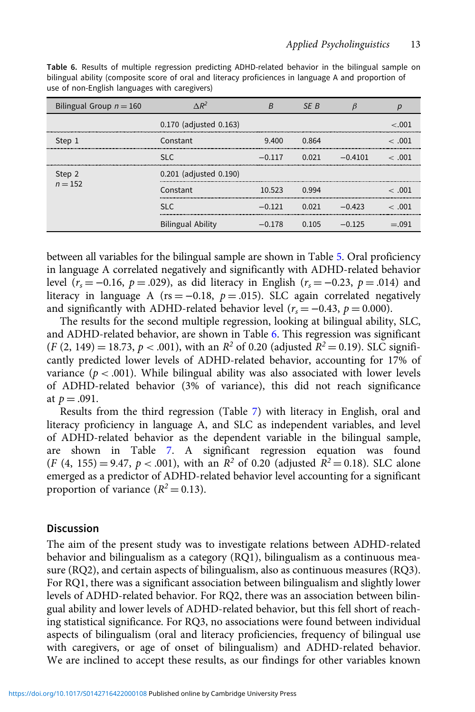| Bilingual Group $n = 160$ | $\triangle R^2$          | R        | SF B  |           |             |  |  |
|---------------------------|--------------------------|----------|-------|-----------|-------------|--|--|
|                           | 0.170 (adjusted 0.163)   |          |       |           | ∕ ∩∩1       |  |  |
| Step 1                    | Constant                 | 9.400    | 0.864 |           | $\leq 0.01$ |  |  |
|                           | SLC.                     | $-0.117$ | 0.021 | $-0.4101$ | $\leq 0.01$ |  |  |
| Step 2<br>$n = 152$       | 0.201 (adjusted 0.190)   |          |       |           |             |  |  |
|                           | Constant                 | 10.523   | 0.994 |           | $\leq 0.01$ |  |  |
|                           | SLC.                     | $-0.121$ | 0.021 | $-0.423$  | $\leq 0.01$ |  |  |
|                           | <b>Bilingual Ability</b> | $-0.178$ | 0.105 | $-0.125$  | $= 091$     |  |  |

Table 6. Results of multiple regression predicting ADHD-related behavior in the bilingual sample on bilingual ability (composite score of oral and literacy proficiences in language A and proportion of use of non-English languages with caregivers)

between all variables for the bilingual sample are shown in Table [5.](#page-11-0) Oral proficiency in language A correlated negatively and significantly with ADHD-related behavior level ( $r_s = -0.16$ ,  $p = .029$ ), as did literacy in English ( $r_s = -0.23$ ,  $p = .014$ ) and literacy in language A (rs = -0.18,  $p = .015$ ). SLC again correlated negatively and significantly with ADHD-related behavior level ( $r_s = -0.43$ ,  $p = 0.000$ ).

The results for the second multiple regression, looking at bilingual ability, SLC, and ADHD-related behavior, are shown in Table 6. This regression was significant  $(F (2, 149) = 18.73, p < .001)$ , with an  $R^2$  of 0.20 (adjusted  $R^2 = 0.19$ ). SLC significantly predicted lower levels of ADHD-related behavior, accounting for 17% of variance ( $p < .001$ ). While bilingual ability was also associated with lower levels of ADHD-related behavior (3% of variance), this did not reach significance at  $p = .091$ .

Results from the third regression (Table [7](#page-13-0)) with literacy in English, oral and literacy proficiency in language A, and SLC as independent variables, and level of ADHD-related behavior as the dependent variable in the bilingual sample, are shown in Table [7](#page-13-0). A significant regression equation was found  $(F (4, 155) = 9.47, p < .001)$ , with an  $R^2$  of 0.20 (adjusted  $R^2 = 0.18$ ). SLC alone emerged as a predictor of ADHD-related behavior level accounting for a significant proportion of variance  $(R^2 = 0.13)$ .

# **Discussion**

The aim of the present study was to investigate relations between ADHD-related behavior and bilingualism as a category (RQ1), bilingualism as a continuous measure (RQ2), and certain aspects of bilingualism, also as continuous measures (RQ3). For RQ1, there was a significant association between bilingualism and slightly lower levels of ADHD-related behavior. For RQ2, there was an association between bilingual ability and lower levels of ADHD-related behavior, but this fell short of reaching statistical significance. For RQ3, no associations were found between individual aspects of bilingualism (oral and literacy proficiencies, frequency of bilingual use with caregivers, or age of onset of bilingualism) and ADHD-related behavior. We are inclined to accept these results, as our findings for other variables known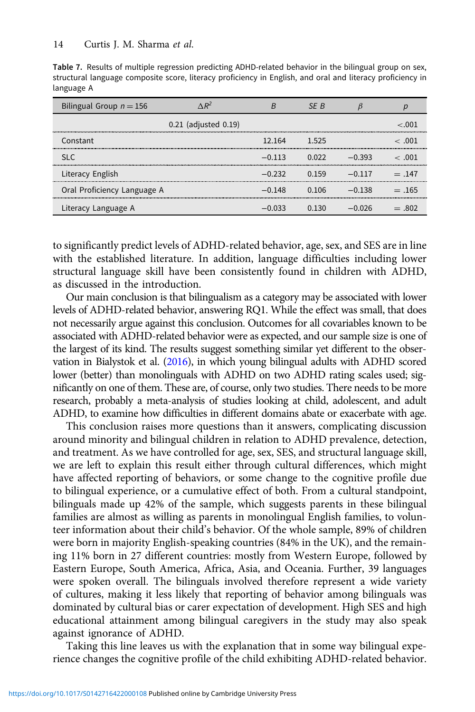<span id="page-13-0"></span>Table 7. Results of multiple regression predicting ADHD-related behavior in the bilingual group on sex, structural language composite score, literacy proficiency in English, and oral and literacy proficiency in language A

| Bilingual Group $n = 156$   | $\triangle R^2$           | R        | SF B  |          |             |
|-----------------------------|---------------------------|----------|-------|----------|-------------|
|                             | $0.21$ (adjusted $0.19$ ) |          |       |          | 001 ~       |
| Constant                    |                           | 12.164   | 1.525 |          | $\leq 0.01$ |
| SI C                        |                           | $-0.113$ | 0.022 | $-0.393$ | $\leq 0.01$ |
| Literacy English            |                           | $-0.232$ | በ 159 | $-0.117$ | $= 147$     |
| Oral Proficiency Language A |                           | $-0.148$ | 0 106 | –0.138   | $= .165$    |
| Literacy Language A         |                           | $-0.033$ | በ 130 | $-0.026$ | $=.802$     |

to significantly predict levels of ADHD-related behavior, age, sex, and SES are in line with the established literature. In addition, language difficulties including lower structural language skill have been consistently found in children with ADHD, as discussed in the introduction.

Our main conclusion is that bilingualism as a category may be associated with lower levels of ADHD-related behavior, answering RQ1. While the effect was small, that does not necessarily argue against this conclusion. Outcomes for all covariables known to be associated with ADHD-related behavior were as expected, and our sample size is one of the largest of its kind. The results suggest something similar yet different to the observation in Bialystok et al. ([2016\)](#page-16-0), in which young bilingual adults with ADHD scored lower (better) than monolinguals with ADHD on two ADHD rating scales used; significantly on one of them. These are, of course, only two studies. There needs to be more research, probably a meta-analysis of studies looking at child, adolescent, and adult ADHD, to examine how difficulties in different domains abate or exacerbate with age.

This conclusion raises more questions than it answers, complicating discussion around minority and bilingual children in relation to ADHD prevalence, detection, and treatment. As we have controlled for age, sex, SES, and structural language skill, we are left to explain this result either through cultural differences, which might have affected reporting of behaviors, or some change to the cognitive profile due to bilingual experience, or a cumulative effect of both. From a cultural standpoint, bilinguals made up 42% of the sample, which suggests parents in these bilingual families are almost as willing as parents in monolingual English families, to volunteer information about their child's behavior. Of the whole sample, 89% of children were born in majority English-speaking countries (84% in the UK), and the remaining 11% born in 27 different countries: mostly from Western Europe, followed by Eastern Europe, South America, Africa, Asia, and Oceania. Further, 39 languages were spoken overall. The bilinguals involved therefore represent a wide variety of cultures, making it less likely that reporting of behavior among bilinguals was dominated by cultural bias or carer expectation of development. High SES and high educational attainment among bilingual caregivers in the study may also speak against ignorance of ADHD.

Taking this line leaves us with the explanation that in some way bilingual experience changes the cognitive profile of the child exhibiting ADHD-related behavior.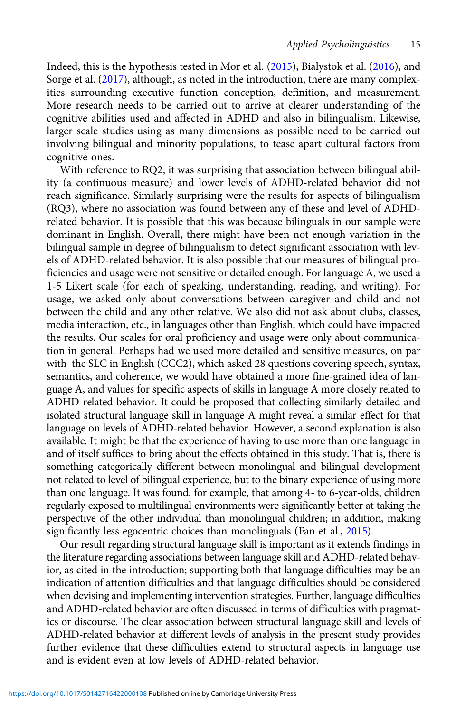Indeed, this is the hypothesis tested in Mor et al. [\(2015\)](#page-17-0), Bialystok et al. [\(2016\)](#page-16-0), and Sorge et al. ([2017](#page-18-0)), although, as noted in the introduction, there are many complexities surrounding executive function conception, definition, and measurement. More research needs to be carried out to arrive at clearer understanding of the cognitive abilities used and affected in ADHD and also in bilingualism. Likewise, larger scale studies using as many dimensions as possible need to be carried out involving bilingual and minority populations, to tease apart cultural factors from cognitive ones.

With reference to RQ2, it was surprising that association between bilingual ability (a continuous measure) and lower levels of ADHD-related behavior did not reach significance. Similarly surprising were the results for aspects of bilingualism (RQ3), where no association was found between any of these and level of ADHDrelated behavior. It is possible that this was because bilinguals in our sample were dominant in English. Overall, there might have been not enough variation in the bilingual sample in degree of bilingualism to detect significant association with levels of ADHD-related behavior. It is also possible that our measures of bilingual proficiencies and usage were not sensitive or detailed enough. For language A, we used a 1-5 Likert scale (for each of speaking, understanding, reading, and writing). For usage, we asked only about conversations between caregiver and child and not between the child and any other relative. We also did not ask about clubs, classes, media interaction, etc., in languages other than English, which could have impacted the results. Our scales for oral proficiency and usage were only about communication in general. Perhaps had we used more detailed and sensitive measures, on par with the SLC in English (CCC2), which asked 28 questions covering speech, syntax, semantics, and coherence, we would have obtained a more fine-grained idea of language A, and values for specific aspects of skills in language A more closely related to ADHD-related behavior. It could be proposed that collecting similarly detailed and isolated structural language skill in language A might reveal a similar effect for that language on levels of ADHD-related behavior. However, a second explanation is also available. It might be that the experience of having to use more than one language in and of itself suffices to bring about the effects obtained in this study. That is, there is something categorically different between monolingual and bilingual development not related to level of bilingual experience, but to the binary experience of using more than one language. It was found, for example, that among 4- to 6-year-olds, children regularly exposed to multilingual environments were significantly better at taking the perspective of the other individual than monolingual children; in addition, making significantly less egocentric choices than monolinguals (Fan et al., [2015](#page-16-0)).

Our result regarding structural language skill is important as it extends findings in the literature regarding associations between language skill and ADHD-related behavior, as cited in the introduction; supporting both that language difficulties may be an indication of attention difficulties and that language difficulties should be considered when devising and implementing intervention strategies. Further, language difficulties and ADHD-related behavior are often discussed in terms of difficulties with pragmatics or discourse. The clear association between structural language skill and levels of ADHD-related behavior at different levels of analysis in the present study provides further evidence that these difficulties extend to structural aspects in language use and is evident even at low levels of ADHD-related behavior.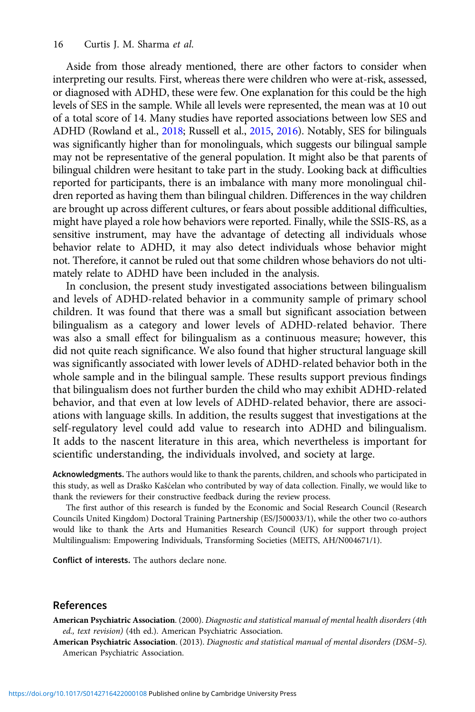<span id="page-15-0"></span>Aside from those already mentioned, there are other factors to consider when interpreting our results. First, whereas there were children who were at-risk, assessed, or diagnosed with ADHD, these were few. One explanation for this could be the high levels of SES in the sample. While all levels were represented, the mean was at 10 out of a total score of 14. Many studies have reported associations between low SES and ADHD (Rowland et al., [2018](#page-18-0); Russell et al., [2015](#page-18-0), [2016\)](#page-18-0). Notably, SES for bilinguals was significantly higher than for monolinguals, which suggests our bilingual sample may not be representative of the general population. It might also be that parents of bilingual children were hesitant to take part in the study. Looking back at difficulties reported for participants, there is an imbalance with many more monolingual children reported as having them than bilingual children. Differences in the way children are brought up across different cultures, or fears about possible additional difficulties, might have played a role how behaviors were reported. Finally, while the SSIS-RS, as a sensitive instrument, may have the advantage of detecting all individuals whose behavior relate to ADHD, it may also detect individuals whose behavior might not. Therefore, it cannot be ruled out that some children whose behaviors do not ultimately relate to ADHD have been included in the analysis.

In conclusion, the present study investigated associations between bilingualism and levels of ADHD-related behavior in a community sample of primary school children. It was found that there was a small but significant association between bilingualism as a category and lower levels of ADHD-related behavior. There was also a small effect for bilingualism as a continuous measure; however, this did not quite reach significance. We also found that higher structural language skill was significantly associated with lower levels of ADHD-related behavior both in the whole sample and in the bilingual sample. These results support previous findings that bilingualism does not further burden the child who may exhibit ADHD-related behavior, and that even at low levels of ADHD-related behavior, there are associations with language skills. In addition, the results suggest that investigations at the self-regulatory level could add value to research into ADHD and bilingualism. It adds to the nascent literature in this area, which nevertheless is important for scientific understanding, the individuals involved, and society at large.

Acknowledgments. The authors would like to thank the parents, children, and schools who participated in this study, as well as Draško Kašcelan who contributed by way of data collection. Finally, we would like to ´ thank the reviewers for their constructive feedback during the review process.

The first author of this research is funded by the Economic and Social Research Council (Research Councils United Kingdom) Doctoral Training Partnership (ES/J500033/1), while the other two co-authors would like to thank the Arts and Humanities Research Council (UK) for support through project Multilingualism: Empowering Individuals, Transforming Societies (MEITS, AH/N004671/1).

Conflict of interests. The authors declare none.

#### References

American Psychiatric Association. (2000). Diagnostic and statistical manual of mental health disorders (4th ed., text revision) (4th ed.). American Psychiatric Association.

American Psychiatric Association. (2013). Diagnostic and statistical manual of mental disorders (DSM–5). American Psychiatric Association.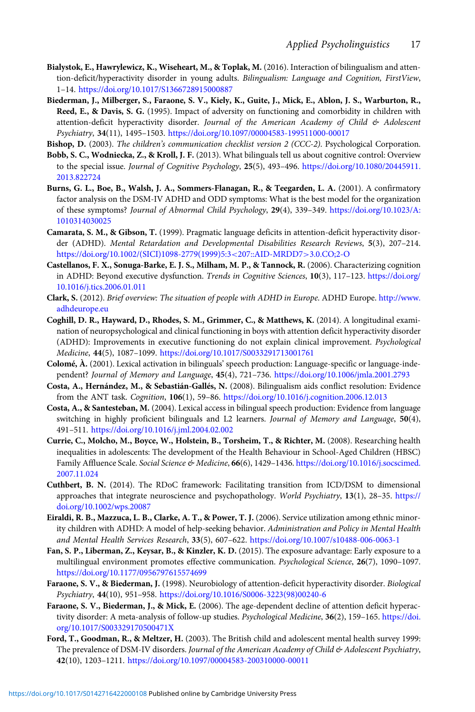- <span id="page-16-0"></span>Bialystok, E., Hawrylewicz, K., Wiseheart, M., & Toplak, M. (2016). Interaction of bilingualism and attention-deficit/hyperactivity disorder in young adults. Bilingualism: Language and Cognition, FirstView, 1–14. <https://doi.org/10.1017/S1366728915000887>
- Biederman, J., Milberger, S., Faraone, S. V., Kiely, K., Guite, J., Mick, E., Ablon, J. S., Warburton, R., Reed, E., & Davis, S. G. (1995). Impact of adversity on functioning and comorbidity in children with attention-deficit hyperactivity disorder. Journal of the American Academy of Child & Adolescent Psychiatry, 34(11), 1495–1503. <https://doi.org/10.1097/00004583-199511000-00017>
- Bishop, D. (2003). The children's communication checklist version 2 (CCC-2). Psychological Corporation.
- Bobb, S. C., Wodniecka, Z., & Kroll, J. F. (2013). What bilinguals tell us about cognitive control: Overview to the special issue. Journal of Cognitive Psychology, 25(5), 493-496. [https://doi.org/10.1080/20445911.](https://doi.org/10.1080/20445911.2013.822724) [2013.822724](https://doi.org/10.1080/20445911.2013.822724)
- Burns, G. L., Boe, B., Walsh, J. A., Sommers-Flanagan, R., & Teegarden, L. A. (2001). A confirmatory factor analysis on the DSM-IV ADHD and ODD symptoms: What is the best model for the organization of these symptoms? Journal of Abnormal Child Psychology, 29(4), 339–349. [https://doi.org/10.1023/A:](https://doi.org/10.1023/A:1010314030025) [1010314030025](https://doi.org/10.1023/A:1010314030025)
- Camarata, S. M., & Gibson, T. (1999). Pragmatic language deficits in attention-deficit hyperactivity disorder (ADHD). Mental Retardation and Developmental Disabilities Research Reviews, 5(3), 207–214. [https://doi.org/10.1002/\(SICI\)1098-2779\(1999\)5:3](https://doi.org/10.1002/(SICI)1098-2779(1999)5:3%3C207::AID-MRDD7%3E3.0.CO;2-O)<207::AID-MRDD7>3.0.CO;2-O
- Castellanos, F. X., Sonuga-Barke, E. J. S., Milham, M. P., & Tannock, R. (2006). Characterizing cognition in ADHD: Beyond executive dysfunction. Trends in Cognitive Sciences, 10(3), 117–123. [https://doi.org/](https://doi.org/10.1016/j.tics.2006.01.011) [10.1016/j.tics.2006.01.011](https://doi.org/10.1016/j.tics.2006.01.011)
- Clark, S. (2012). Brief overview: The situation of people with ADHD in Europe. ADHD Europe. [http://www.](http://www.adhdeurope.eu) [adhdeurope.eu](http://www.adhdeurope.eu)
- Coghill, D. R., Hayward, D., Rhodes, S. M., Grimmer, C., & Matthews, K. (2014). A longitudinal examination of neuropsychological and clinical functioning in boys with attention deficit hyperactivity disorder (ADHD): Improvements in executive functioning do not explain clinical improvement. Psychological Medicine, 44(5), 1087–1099. <https://doi.org/10.1017/S0033291713001761>
- Colomé, À. (2001). Lexical activation in bilinguals' speech production: Language-specific or language-independent? Journal of Memory and Language, 45(4), 721–736. <https://doi.org/10.1006/jmla.2001.2793>
- Costa, A., Hernández, M., & Sebastián-Gallés, N. (2008). Bilingualism aids conflict resolution: Evidence from the ANT task. Cognition, 106(1), 59–86. <https://doi.org/10.1016/j.cognition.2006.12.013>
- Costa, A., & Santesteban, M. (2004). Lexical access in bilingual speech production: Evidence from language switching in highly proficient bilinguals and L2 learners. Journal of Memory and Language, 50(4), 491–511. <https://doi.org/10.1016/j.jml.2004.02.002>
- Currie, C., Molcho, M., Boyce, W., Holstein, B., Torsheim, T., & Richter, M. (2008). Researching health inequalities in adolescents: The development of the Health Behaviour in School-Aged Children (HBSC) Family Affluence Scale. Social Science & Medicine, 66(6), 1429-1436. [https://doi.org/10.1016/j.socscimed.](https://doi.org/10.1016/j.socscimed.2007.11.024) [2007.11.024](https://doi.org/10.1016/j.socscimed.2007.11.024)
- Cuthbert, B. N. (2014). The RDoC framework: Facilitating transition from ICD/DSM to dimensional approaches that integrate neuroscience and psychopathology. World Psychiatry, 13(1), 28–35. [https://](https://doi.org/10.1002/wps.20087) [doi.org/10.1002/wps.20087](https://doi.org/10.1002/wps.20087)
- Eiraldi, R. B., Mazzuca, L. B., Clarke, A. T., & Power, T. J. (2006). Service utilization among ethnic minority children with ADHD: A model of help-seeking behavior. Administration and Policy in Mental Health and Mental Health Services Research, 33(5), 607–622. <https://doi.org/10.1007/s10488-006-0063-1>
- Fan, S. P., Liberman, Z., Keysar, B., & Kinzler, K. D. (2015). The exposure advantage: Early exposure to a multilingual environment promotes effective communication. Psychological Science, 26(7), 1090–1097. <https://doi.org/10.1177/0956797615574699>
- Faraone, S. V., & Biederman, J. (1998). Neurobiology of attention-deficit hyperactivity disorder. Biological Psychiatry, 44(10), 951–958. [https://doi.org/10.1016/S0006-3223\(98\)00240-6](https://doi.org/10.1016/S0006-3223(98)00240-6)
- Faraone, S. V., Biederman, J., & Mick, E. (2006). The age-dependent decline of attention deficit hyperactivity disorder: A meta-analysis of follow-up studies. Psychological Medicine, 36(2), 159–165. [https://doi.](https://doi.org/10.1017/S003329170500471X) [org/10.1017/S003329170500471X](https://doi.org/10.1017/S003329170500471X)
- Ford, T., Goodman, R., & Meltzer, H. (2003). The British child and adolescent mental health survey 1999: The prevalence of DSM-IV disorders. Journal of the American Academy of Child & Adolescent Psychiatry, 42(10), 1203–1211. <https://doi.org/10.1097/00004583-200310000-00011>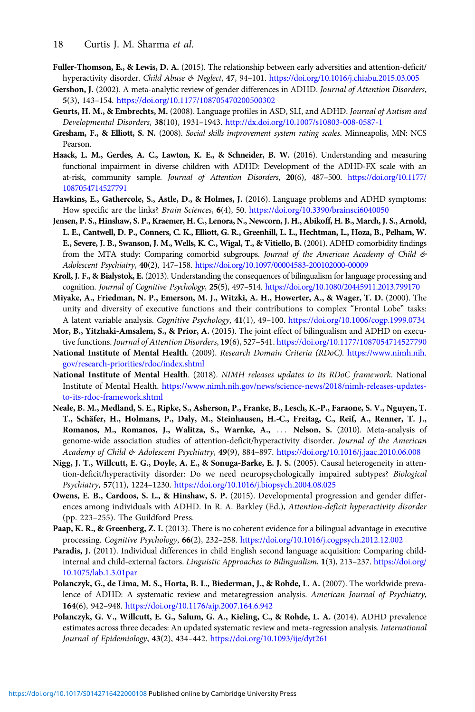- <span id="page-17-0"></span>Fuller-Thomson, E., & Lewis, D. A. (2015). The relationship between early adversities and attention-deficit/ hyperactivity disorder. Child Abuse & Neglect, 47, 94–101. <https://doi.org/10.1016/j.chiabu.2015.03.005>
- Gershon, J. (2002). A meta-analytic review of gender differences in ADHD. Journal of Attention Disorders, 5(3), 143–154. <https://doi.org/10.1177/108705470200500302>
- Geurts, H. M., & Embrechts, M. (2008). Language profiles in ASD, SLI, and ADHD. Journal of Autism and Developmental Disorders, 38(10), 1931–1943. <http://dx.doi.org/10.1007/s10803-008-0587-1>
- Gresham, F., & Elliott, S. N. (2008). Social skills improvement system rating scales. Minneapolis, MN: NCS Pearson.
- Haack, L. M., Gerdes, A. C., Lawton, K. E., & Schneider, B. W. (2016). Understanding and measuring functional impairment in diverse children with ADHD: Development of the ADHD-FX scale with an at-risk, community sample. Journal of Attention Disorders, 20(6), 487–500. [https://doi.org/10.1177/](https://doi.org/10.1177/1087054714527791) [1087054714527791](https://doi.org/10.1177/1087054714527791)
- Hawkins, E., Gathercole, S., Astle, D., & Holmes, J. (2016). Language problems and ADHD symptoms: How specific are the links? Brain Sciences, 6(4), 50. <https://doi.org/10.3390/brainsci6040050>
- Jensen, P. S., Hinshaw, S. P., Kraemer, H. C., Lenora, N., Newcorn, J. H., Abikoff, H. B., March, J. S., Arnold, L. E., Cantwell, D. P., Conners, C. K., Elliott, G. R., Greenhill, L. L., Hechtman, L., Hoza, B., Pelham, W. E., Severe, J. B., Swanson, J. M., Wells, K. C., Wigal, T., & Vitiello, B. (2001). ADHD comorbidity findings from the MTA study: Comparing comorbid subgroups. Journal of the American Academy of Child & Adolescent Psychiatry, 40(2), 147–158. <https://doi.org/10.1097/00004583-200102000-00009>
- Kroll, J. F., & Bialystok, E. (2013). Understanding the consequences of bilingualism for language processing and cognition. Journal of Cognitive Psychology, 25(5), 497–514. <https://doi.org/10.1080/20445911.2013.799170>
- Miyake, A., Friedman, N. P., Emerson, M. J., Witzki, A. H., Howerter, A., & Wager, T. D. (2000). The unity and diversity of executive functions and their contributions to complex "Frontal Lobe" tasks: A latent variable analysis. Cognitive Psychology, 41(1), 49–100. <https://doi.org/10.1006/cogp.1999.0734>
- Mor, B., Yitzhaki-Amsalem, S., & Prior, A. (2015). The joint effect of bilingualism and ADHD on executive functions. Journal of Attention Disorders, 19(6), 527–541. <https://doi.org/10.1177/1087054714527790>
- National Institute of Mental Health. (2009). Research Domain Criteria (RDoC). [https://www.nimh.nih.](https://www.nimh.nih.gov/research-priorities/rdoc/index.shtml) [gov/research-priorities/rdoc/index.shtml](https://www.nimh.nih.gov/research-priorities/rdoc/index.shtml)
- National Institute of Mental Health. (2018). NIMH releases updates to its RDoC framework. National Institute of Mental Health. [https://www.nimh.nih.gov/news/science-news/2018/nimh-releases-updates](https://www.nimh.nih.gov/news/science-news/2018/nimh-releases-updates-to-its-rdoc-framework.shtml)[to-its-rdoc-framework.shtml](https://www.nimh.nih.gov/news/science-news/2018/nimh-releases-updates-to-its-rdoc-framework.shtml)
- Neale, B. M., Medland, S. E., Ripke, S., Asherson, P., Franke, B., Lesch, K.-P., Faraone, S. V., Nguyen, T. T., Schäfer, H., Holmans, P., Daly, M., Steinhausen, H.-C., Freitag, C., Reif, A., Renner, T. J., Romanos, M., Romanos, J., Walitza, S., Warnke, A., ::: Nelson, S. (2010). Meta-analysis of genome-wide association studies of attention-deficit/hyperactivity disorder. Journal of the American Academy of Child & Adolescent Psychiatry, 49(9), 884–897. <https://doi.org/10.1016/j.jaac.2010.06.008>
- Nigg, J. T., Willcutt, E. G., Doyle, A. E., & Sonuga-Barke, E. J. S. (2005). Causal heterogeneity in attention-deficit/hyperactivity disorder: Do we need neuropsychologically impaired subtypes? Biological Psychiatry, 57(11), 1224–1230. <https://doi.org/10.1016/j.biopsych.2004.08.025>
- Owens, E. B., Cardoos, S. L., & Hinshaw, S. P. (2015). Developmental progression and gender differences among individuals with ADHD. In R. A. Barkley (Ed.), Attention-deficit hyperactivity disorder (pp. 223–255). The Guildford Press.
- Paap, K. R., & Greenberg, Z. I. (2013). There is no coherent evidence for a bilingual advantage in executive processing. Cognitive Psychology, 66(2), 232–258. <https://doi.org/10.1016/j.cogpsych.2012.12.002>
- Paradis, J. (2011). Individual differences in child English second language acquisition: Comparing childinternal and child-external factors. Linguistic Approaches to Bilingualism, 1(3), 213–237. [https://doi.org/](https://doi.org/10.1075/lab.1.3.01par) [10.1075/lab.1.3.01par](https://doi.org/10.1075/lab.1.3.01par)
- Polanczyk, G., de Lima, M. S., Horta, B. L., Biederman, J., & Rohde, L. A. (2007). The worldwide prevalence of ADHD: A systematic review and metaregression analysis. American Journal of Psychiatry, 164(6), 942–948. <https://doi.org/10.1176/ajp.2007.164.6.942>
- Polanczyk, G. V., Willcutt, E. G., Salum, G. A., Kieling, C., & Rohde, L. A. (2014). ADHD prevalence estimates across three decades: An updated systematic review and meta-regression analysis. International Journal of Epidemiology, 43(2), 434–442. <https://doi.org/10.1093/ije/dyt261>